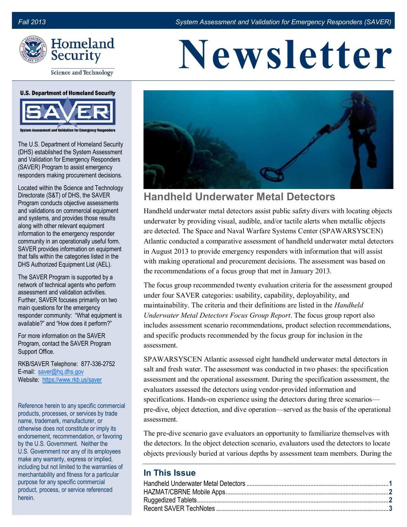

**Science and Technology** 

#### **U.S. Department of Homeland Security**



**Validation for Emergency Resp** 

The U.S. Department of Homeland Security (DHS) established the System Assessment and Validation for Emergency Responders (SAVER) Program to assist emergency responders making procurement decisions.

Located within the Science and Technology Directorate (S&T) of DHS, the SAVER Program conducts objective assessments and validations on commercial equipment and systems, and provides those results along with other relevant equipment information to the emergency responder community in an operationally useful form. SAVER provides information on equipment that falls within the categories listed in the DHS Authorized Equipment List (AEL).

The SAVER Program is supported by a network of technical agents who perform assessment and validation activities. Further, SAVER focuses primarily on two main questions for the emergency responder community: "What equipment is available?" and "How does it perform?"

For more information on the SAVER Program, contact the SAVER Program Support Office.

RKB/SAVER Telephone: 877-336-2752 E-mail: [saver@hq.dhs.gov](mailto:saver@dhs.gov) Website: [https://www.rkb.us/saver](www.firstresponder.gov)

Reference herein to any specific commercial products, processes, or services by trade name, trademark, manufacturer, or otherwise does not constitute or imply its endorsement, recommendation, or favoring by the U.S. Government. Neither the U.S. Government nor any of its employees make any warranty, express or implied, including but not limited to the warranties of merchantability and fitness for a particular purpose for any specific commercial product, process, or service referenced herein.

# **Newsletter**



### **Handheld Underwater Metal Detectors**

Handheld underwater metal detectors assist public safety divers with locating objects underwater by providing visual, audible, and/or tactile alerts when metallic objects are detected. The Space and Naval Warfare Systems Center (SPAWARSYSCEN) Atlantic conducted a comparative assessment of handheld underwater metal detectors in August 2013 to provide emergency responders with information that will assist with making operational and procurement decisions. The assessment was based on the recommendations of a focus group that met in January 2013.

The focus group recommended twenty evaluation criteria for the assessment grouped under four SAVER categories: usability, capability, deployability, and maintainability. The criteria and their definitions are listed in the *Handheld Underwater Metal Detectors Focus Group Report*. The focus group report also includes assessment scenario recommendations, product selection recommendations, and specific products recommended by the focus group for inclusion in the assessment.

SPAWARSYSCEN Atlantic assessed eight handheld underwater metal detectors in salt and fresh water. The assessment was conducted in two phases: the specification assessment and the operational assessment. During the specification assessment, the evaluators assessed the detectors using vendor-provided information and specifications. Hands-on experience using the detectors during three scenarios pre-dive, object detection, and dive operation—served as the basis of the operational assessment.

The pre-dive scenario gave evaluators an opportunity to familiarize themselves with the detectors. In the object detection scenario, evaluators used the detectors to locate objects previously buried at various depths by assessment team members. During the

#### **In This Issue**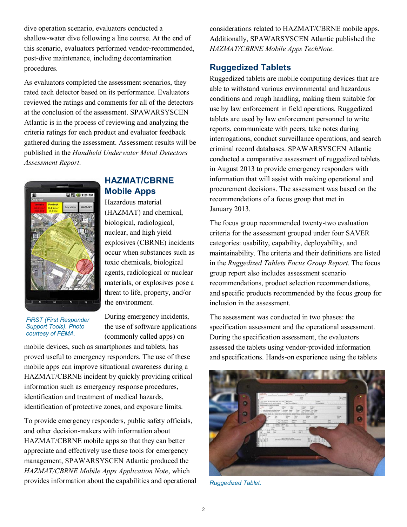<span id="page-1-0"></span>dive operation scenario, evaluators conducted a shallow-water dive following a line course. At the end of this scenario, evaluators performed vendor-recommended, post-dive maintenance, including decontamination procedures.

As evaluators completed the assessment scenarios, they rated each detector based on its performance. Evaluators reviewed the ratings and comments for all of the detectors at the conclusion of the assessment. SPAWARSYSCEN Atlantic is in the process of reviewing and analyzing the criteria ratings for each product and evaluator feedback gathered during the assessment. Assessment results will be published in the *Handheld Underwater Metal Detectors Assessment Report*.



*FiRST (First Responder Support Tools). Photo* 

*courtesy of FEMA.*

**HAZMAT/CBRNE Mobile Apps** 

Hazardous material (HAZMAT) and chemical, biological, radiological, nuclear, and high yield explosives (CBRNE) incidents occur when substances such as toxic chemicals, biological agents, radiological or nuclear materials, or explosives pose a threat to life, property, and/or the environment.

During emergency incidents, the use of software applications (commonly called apps) on

mobile devices, such as smartphones and tablets, has proved useful to emergency responders. The use of these mobile apps can improve situational awareness during a HAZMAT/CBRNE incident by quickly providing critical information such as emergency response procedures, identification and treatment of medical hazards, identification of protective zones, and exposure limits.

To provide emergency responders, public safety officials, and other decision-makers with information about HAZMAT/CBRNE mobile apps so that they can better appreciate and effectively use these tools for emergency management, SPAWARSYSCEN Atlantic produced the *HAZMAT/CBRNE Mobile Apps Application Note*, which provides information about the capabilities and operational considerations related to HAZMAT/CBRNE mobile apps. Additionally, SPAWARSYSCEN Atlantic published the *HAZMAT/CBRNE Mobile Apps TechNote*.

#### **Ruggedized Tablets**

Ruggedized tablets are mobile computing devices that are able to withstand various environmental and hazardous conditions and rough handling, making them suitable for use by law enforcement in field operations. Ruggedized tablets are used by law enforcement personnel to write reports, communicate with peers, take notes during interrogations, conduct surveillance operations, and search criminal record databases. SPAWARSYSCEN Atlantic conducted a comparative assessment of ruggedized tablets in August 2013 to provide emergency responders with information that will assist with making operational and procurement decisions. The assessment was based on the recommendations of a focus group that met in January 2013.

The focus group recommended twenty-two evaluation criteria for the assessment grouped under four SAVER categories: usability, capability, deployability, and maintainability. The criteria and their definitions are listed in the *Ruggedized Tablets Focus Group Report*. The focus group report also includes assessment scenario recommendations, product selection recommendations, and specific products recommended by the focus group for inclusion in the assessment.

The assessment was conducted in two phases: the specification assessment and the operational assessment. During the specification assessment, the evaluators assessed the tablets using vendor-provided information and specifications. Hands-on experience using the tablets



*Ruggedized Tablet.*